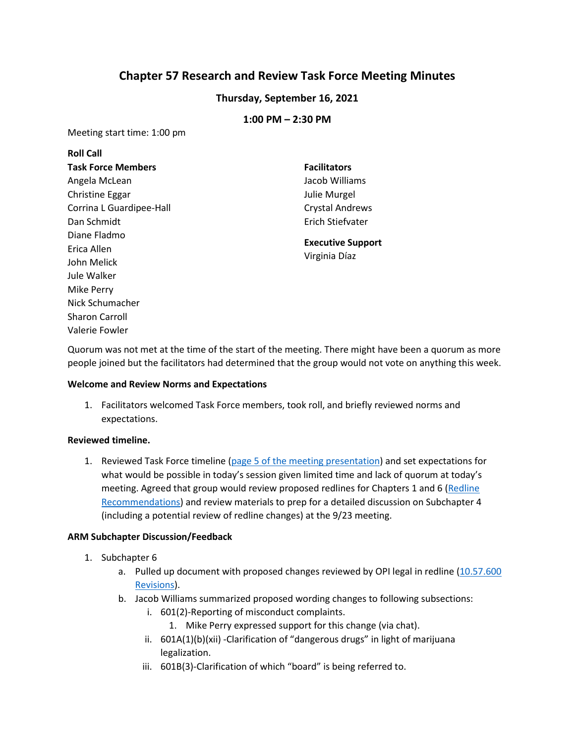# **Chapter 57 Research and Review Task Force Meeting Minutes**

# **Thursday, September 16, 2021**

## **1:00 PM – 2:30 PM**

Meeting start time: 1:00 pm

| <b>Roll Call</b>          |                                           |
|---------------------------|-------------------------------------------|
| <b>Task Force Members</b> | <b>Facilitators</b>                       |
| Angela McLean             | Jacob Williams                            |
| Christine Eggar           | Julie Murgel                              |
| Corrina L Guardipee-Hall  | <b>Crystal Andrews</b>                    |
| Dan Schmidt               | Erich Stiefvater                          |
| Diane Fladmo              | <b>Executive Support</b><br>Virginia Díaz |
| Erica Allen               |                                           |
| John Melick               |                                           |
| Jule Walker               |                                           |
| Mike Perry                |                                           |
|                           |                                           |
| Nick Schumacher           |                                           |

Quorum was not met at the time of the start of the meeting. There might have been a quorum as more people joined but the facilitators had determined that the group would not vote on anything this week.

#### **Welcome and Review Norms and Expectations**

1. Facilitators welcomed Task Force members, took roll, and briefly reviewed norms and expectations.

## **Reviewed timeline.**

Valerie Fowler

1. Reviewed Task Force timeline (page 5 of the [meeting presentation\)](https://drive.google.com/file/d/19Ey4S9zC0cyKiBBwtCnWJ0HvhPhrwVWE/view) and set expectations for what would be possible in today's session given limited time and lack of quorum at today's meeting. Agreed that group would review proposed redlines for Chapters 1 and 6 (Redline [Recommendations\)](https://sites.google.com/opiconnect.org/educator-licensing-revision-te/redline-recommendations) and review materials to prep for a detailed discussion on Subchapter 4 (including a potential review of redline changes) at the 9/23 meeting.

## **ARM Subchapter Discussion/Feedback**

- 1. Subchapter 6
	- a. Pulled up document with proposed changes reviewed by OPI legal in redline [\(10.57.600](https://docs.google.com/document/d/1_Vlw7aFcdzZVInXzF4K3_svqY8XOqGw0Kk6fH8QtptY)) [Revisions\)](https://docs.google.com/document/d/1_Vlw7aFcdzZVInXzF4K3_svqY8XOqGw0Kk6fH8QtptY).
	- b. Jacob Williams summarized proposed wording changes to following subsections:
		- i. 601(2)-Reporting of misconduct complaints.
			- 1. Mike Perry expressed support for this change (via chat).
		- ii. 601A(1)(b)(xii) -Clarification of "dangerous drugs" in light of marijuana legalization.
		- iii. 601B(3)-Clarification of which "board" is being referred to.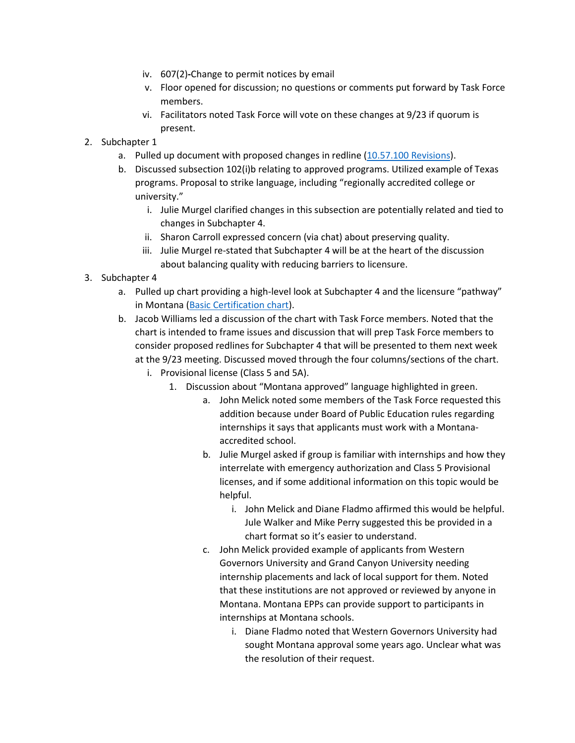- iv. 607(2)**-**Change to permit notices by email
- v. Floor opened for discussion; no questions or comments put forward by Task Force members.
- vi. Facilitators noted Task Force will vote on these changes at 9/23 if quorum is present.
- 2. Subchapter 1
	- a. Pulled up document with proposed changes in redline [\(10.57.100 Revisions\)](https://docs.google.com/document/d/1LmBveYTP1ZjKcLUBcjwH3ftduwFtk7UtA-BwOe_AEw4/edit).
	- b. Discussed subsection 102(i)b relating to approved programs. Utilized example of Texas programs. Proposal to strike language, including "regionally accredited college or university."
		- i. Julie Murgel clarified changes in this subsection are potentially related and tied to changes in Subchapter 4.
		- ii. Sharon Carroll expressed concern (via chat) about preserving quality.
		- iii. Julie Murgel re-stated that Subchapter 4 will be at the heart of the discussion about balancing quality with reducing barriers to licensure.
- 3. Subchapter 4
	- a. Pulled up chart providing a high-level look at Subchapter 4 and the licensure "pathway" in Montana [\(Basic Certification chart\)](https://docs.google.com/document/d/14DrU72Ha8h0U44k_kp0eHLw2K_anqVMn/edit).
	- b. Jacob Williams led a discussion of the chart with Task Force members. Noted that the chart is intended to frame issues and discussion that will prep Task Force members to consider proposed redlines for Subchapter 4 that will be presented to them next week at the 9/23 meeting. Discussed moved through the four columns/sections of the chart.
		- i. Provisional license (Class 5 and 5A).
			- 1. Discussion about "Montana approved" language highlighted in green.
				- a. John Melick noted some members of the Task Force requested this addition because under Board of Public Education rules regarding internships it says that applicants must work with a Montanaaccredited school.
				- b. Julie Murgel asked if group is familiar with internships and how they interrelate with emergency authorization and Class 5 Provisional licenses, and if some additional information on this topic would be helpful.
					- i. John Melick and Diane Fladmo affirmed this would be helpful. Jule Walker and Mike Perry suggested this be provided in a chart format so it's easier to understand.
				- c. John Melick provided example of applicants from Western Governors University and Grand Canyon University needing internship placements and lack of local support for them. Noted that these institutions are not approved or reviewed by anyone in Montana. Montana EPPs can provide support to participants in internships at Montana schools.
					- i. Diane Fladmo noted that Western Governors University had sought Montana approval some years ago. Unclear what was the resolution of their request.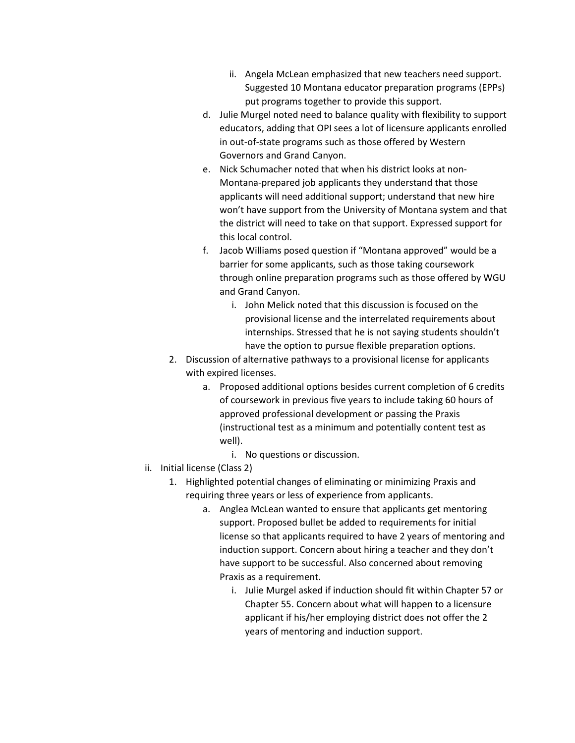- ii. Angela McLean emphasized that new teachers need support. Suggested 10 Montana educator preparation programs (EPPs) put programs together to provide this support.
- d. Julie Murgel noted need to balance quality with flexibility to support educators, adding that OPI sees a lot of licensure applicants enrolled in out-of-state programs such as those offered by Western Governors and Grand Canyon.
- e. Nick Schumacher noted that when his district looks at non-Montana-prepared job applicants they understand that those applicants will need additional support; understand that new hire won't have support from the University of Montana system and that the district will need to take on that support. Expressed support for this local control.
- f. Jacob Williams posed question if "Montana approved" would be a barrier for some applicants, such as those taking coursework through online preparation programs such as those offered by WGU and Grand Canyon.
	- i. John Melick noted that this discussion is focused on the provisional license and the interrelated requirements about internships. Stressed that he is not saying students shouldn't have the option to pursue flexible preparation options.
- 2. Discussion of alternative pathways to a provisional license for applicants with expired licenses.
	- a. Proposed additional options besides current completion of 6 credits of coursework in previous five years to include taking 60 hours of approved professional development or passing the Praxis (instructional test as a minimum and potentially content test as well).
		- i. No questions or discussion.
- ii. Initial license (Class 2)
	- 1. Highlighted potential changes of eliminating or minimizing Praxis and requiring three years or less of experience from applicants.
		- a. Anglea McLean wanted to ensure that applicants get mentoring support. Proposed bullet be added to requirements for initial license so that applicants required to have 2 years of mentoring and induction support. Concern about hiring a teacher and they don't have support to be successful. Also concerned about removing Praxis as a requirement.
			- i. Julie Murgel asked if induction should fit within Chapter 57 or Chapter 55. Concern about what will happen to a licensure applicant if his/her employing district does not offer the 2 years of mentoring and induction support.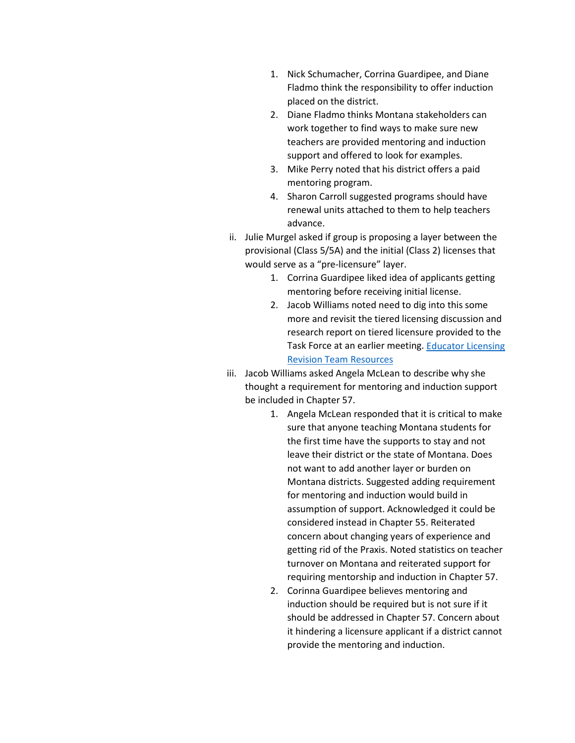- 1. Nick Schumacher, Corrina Guardipee, and Diane Fladmo think the responsibility to offer induction placed on the district.
- 2. Diane Fladmo thinks Montana stakeholders can work together to find ways to make sure new teachers are provided mentoring and induction support and offered to look for examples.
- 3. Mike Perry noted that his district offers a paid mentoring program.
- 4. Sharon Carroll suggested programs should have renewal units attached to them to help teachers advance.
- ii. Julie Murgel asked if group is proposing a layer between the provisional (Class 5/5A) and the initial (Class 2) licenses that would serve as a "pre-licensure" layer.
	- 1. Corrina Guardipee liked idea of applicants getting mentoring before receiving initial license.
	- 2. Jacob Williams noted need to dig into this some more and revisit the tiered licensing discussion and research report on tiered licensure provided to the Task Force at an earlier meeting. Educator Licensing [Revision Team Resources](https://sites.google.com/d/1qXgaXfBHQIWVOwUtLoUsWh2ymnE2DcuH/p/1FxgBG_-LkHk9i3eeWvdUKd0oa49UHSf3/edit)
- iii. Jacob Williams asked Angela McLean to describe why she thought a requirement for mentoring and induction support be included in Chapter 57.
	- 1. Angela McLean responded that it is critical to make sure that anyone teaching Montana students for the first time have the supports to stay and not leave their district or the state of Montana. Does not want to add another layer or burden on Montana districts. Suggested adding requirement for mentoring and induction would build in assumption of support. Acknowledged it could be considered instead in Chapter 55. Reiterated concern about changing years of experience and getting rid of the Praxis. Noted statistics on teacher turnover on Montana and reiterated support for requiring mentorship and induction in Chapter 57.
	- 2. Corinna Guardipee believes mentoring and induction should be required but is not sure if it should be addressed in Chapter 57. Concern about it hindering a licensure applicant if a district cannot provide the mentoring and induction.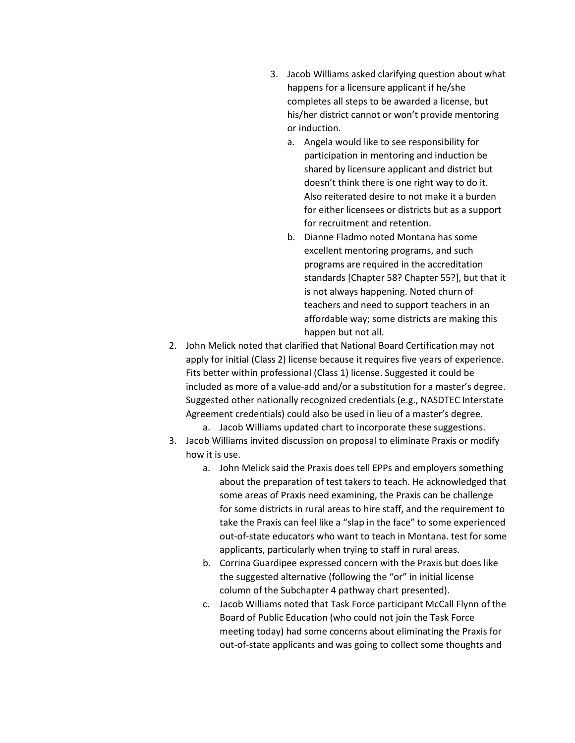- 3. Jacob Williams asked clarifying question about what happens for a licensure applicant if he/she completes all steps to be awarded a license, but his/her district cannot or won't provide mentoring or induction.
	- a. Angela would like to see responsibility for participation in mentoring and induction be shared by licensure applicant and district but doesn't think there is one right way to do it. Also reiterated desire to not make it a burden for either licensees or districts but as a support for recruitment and retention.
	- b. Dianne Fladmo noted Montana has some excellent mentoring programs, and such programs are required in the accreditation standards [Chapter 58? Chapter 55?], but that it is not always happening. Noted churn of teachers and need to support teachers in an affordable way; some districts are making this happen but not all.
- 2. John Melick noted that clarified that National Board Certification may not apply for initial (Class 2) license because it requires five years of experience. Fits better within professional (Class 1) license. Suggested it could be included as more of a value-add and/or a substitution for a master's degree. Suggested other nationally recognized credentials (e.g., NASDTEC Interstate Agreement credentials) could also be used in lieu of a master's degree.
	- a. Jacob Williams updated chart to incorporate these suggestions.
- 3. Jacob Williams invited discussion on proposal to eliminate Praxis or modify how it is use.
	- a. John Melick said the Praxis does tell EPPs and employers something about the preparation of test takers to teach. He acknowledged that some areas of Praxis need examining, the Praxis can be challenge for some districts in rural areas to hire staff, and the requirement to take the Praxis can feel like a "slap in the face" to some experienced out-of-state educators who want to teach in Montana. test for some applicants, particularly when trying to staff in rural areas.
	- b. Corrina Guardipee expressed concern with the Praxis but does like the suggested alternative (following the "or" in initial license column of the Subchapter 4 pathway chart presented).
	- c. Jacob Williams noted that Task Force participant McCall Flynn of the Board of Public Education (who could not join the Task Force meeting today) had some concerns about eliminating the Praxis for out-of-state applicants and was going to collect some thoughts and